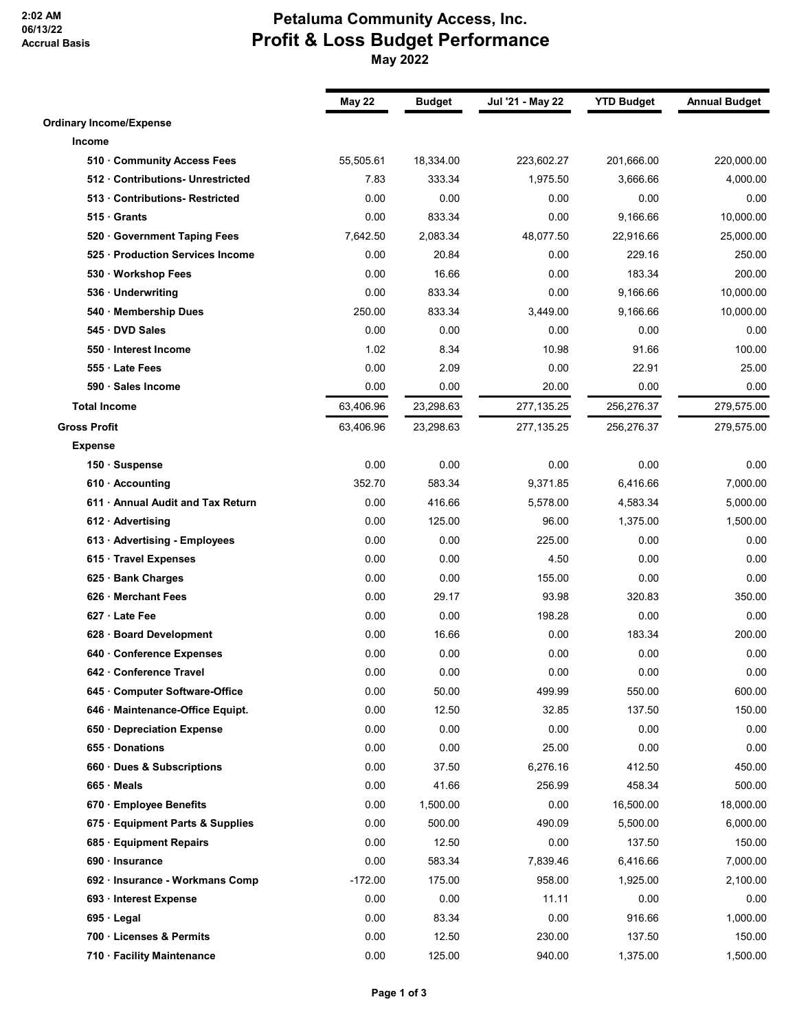**2:02 AM 06/13/22 Accrual Basis**

## **Petaluma Community Access, Inc. Profit & Loss Budget Performance May 2022**

|                                   | <b>May 22</b> | <b>Budget</b> | Jul '21 - May 22 | <b>YTD Budget</b> | <b>Annual Budget</b> |
|-----------------------------------|---------------|---------------|------------------|-------------------|----------------------|
| <b>Ordinary Income/Expense</b>    |               |               |                  |                   |                      |
| Income                            |               |               |                  |                   |                      |
| 510 Community Access Fees         | 55,505.61     | 18,334.00     | 223,602.27       | 201,666.00        | 220,000.00           |
| 512 Contributions- Unrestricted   | 7.83          | 333.34        | 1,975.50         | 3,666.66          | 4,000.00             |
| 513 Contributions-Restricted      | 0.00          | 0.00          | 0.00             | 0.00              | 0.00                 |
| 515 Grants                        | 0.00          | 833.34        | 0.00             | 9,166.66          | 10,000.00            |
| 520 Government Taping Fees        | 7,642.50      | 2.083.34      | 48,077.50        | 22,916.66         | 25,000.00            |
| 525 · Production Services Income  | 0.00          | 20.84         | 0.00             | 229.16            | 250.00               |
| 530 · Workshop Fees               | 0.00          | 16.66         | 0.00             | 183.34            | 200.00               |
| 536 Underwriting                  | 0.00          | 833.34        | 0.00             | 9,166.66          | 10,000.00            |
| 540 Membership Dues               | 250.00        | 833.34        | 3,449.00         | 9,166.66          | 10,000.00            |
| 545 DVD Sales                     | 0.00          | 0.00          | 0.00             | 0.00              | 0.00                 |
| 550 Interest Income               | 1.02          | 8.34          | 10.98            | 91.66             | 100.00               |
| 555 Late Fees                     | 0.00          | 2.09          | 0.00             | 22.91             | 25.00                |
| 590 · Sales Income                | 0.00          | 0.00          | 20.00            | 0.00              | 0.00                 |
| <b>Total Income</b>               | 63,406.96     | 23,298.63     | 277,135.25       | 256,276.37        | 279,575.00           |
| <b>Gross Profit</b>               | 63,406.96     | 23,298.63     | 277,135.25       | 256,276.37        | 279,575.00           |
| <b>Expense</b>                    |               |               |                  |                   |                      |
| 150 · Suspense                    | 0.00          | 0.00          | 0.00             | 0.00              | 0.00                 |
| $610 \cdot$ Accounting            | 352.70        | 583.34        | 9,371.85         | 6,416.66          | 7,000.00             |
| 611 • Annual Audit and Tax Return | 0.00          | 416.66        | 5,578.00         | 4,583.34          | 5,000.00             |
| $612 \cdot$ Advertising           | 0.00          | 125.00        | 96.00            | 1,375.00          | 1,500.00             |
| 613 · Advertising - Employees     | 0.00          | 0.00          | 225.00           | 0.00              | 0.00                 |
| 615 · Travel Expenses             | 0.00          | 0.00          | 4.50             | 0.00              | 0.00                 |
| 625 · Bank Charges                | 0.00          | 0.00          | 155.00           | 0.00              | 0.00                 |
| 626 Merchant Fees                 | 0.00          | 29.17         | 93.98            | 320.83            | 350.00               |
| 627 Late Fee                      | 0.00          | 0.00          | 198.28           | 0.00              | 0.00                 |
| 628 · Board Development           | 0.00          | 16.66         | 0.00             | 183.34            | 200.00               |
| 640 Conference Expenses           | 0.00          | 0.00          | 0.00             | 0.00              | 0.00                 |
| 642 · Conference Travel           | 0.00          | 0.00          | 0.00             | 0.00              | 0.00                 |
| 645 Computer Software-Office      | 0.00          | 50.00         | 499.99           | 550.00            | 600.00               |
| 646 Maintenance-Office Equipt.    | 0.00          | 12.50         | 32.85            | 137.50            | 150.00               |
| 650 Depreciation Expense          | 0.00          | 0.00          | 0.00             | 0.00              | 0.00                 |
| 655 · Donations                   | 0.00          | 0.00          | 25.00            | 0.00              | 0.00                 |
| 660 Dues & Subscriptions          | 0.00          | 37.50         | 6,276.16         | 412.50            | 450.00               |
| 665 Meals                         | 0.00          | 41.66         | 256.99           | 458.34            | 500.00               |
| 670 · Employee Benefits           | 0.00          | 1,500.00      | 0.00             | 16,500.00         | 18,000.00            |
| 675 · Equipment Parts & Supplies  | 0.00          | 500.00        | 490.09           | 5,500.00          | 6,000.00             |
| 685 · Equipment Repairs           | 0.00          | 12.50         | 0.00             | 137.50            | 150.00               |
| 690 · Insurance                   | 0.00          | 583.34        | 7,839.46         | 6,416.66          | 7,000.00             |
| 692 · Insurance - Workmans Comp   | $-172.00$     | 175.00        | 958.00           | 1,925.00          | 2,100.00             |
| 693 · Interest Expense            | 0.00          | 0.00          | 11.11            | 0.00              | 0.00                 |
| 695 · Legal                       | 0.00          | 83.34         | 0.00             | 916.66            | 1,000.00             |
| 700 · Licenses & Permits          | 0.00          | 12.50         | 230.00           | 137.50            | 150.00               |
| 710 · Facility Maintenance        | 0.00          | 125.00        | 940.00           | 1,375.00          | 1,500.00             |
|                                   |               |               |                  |                   |                      |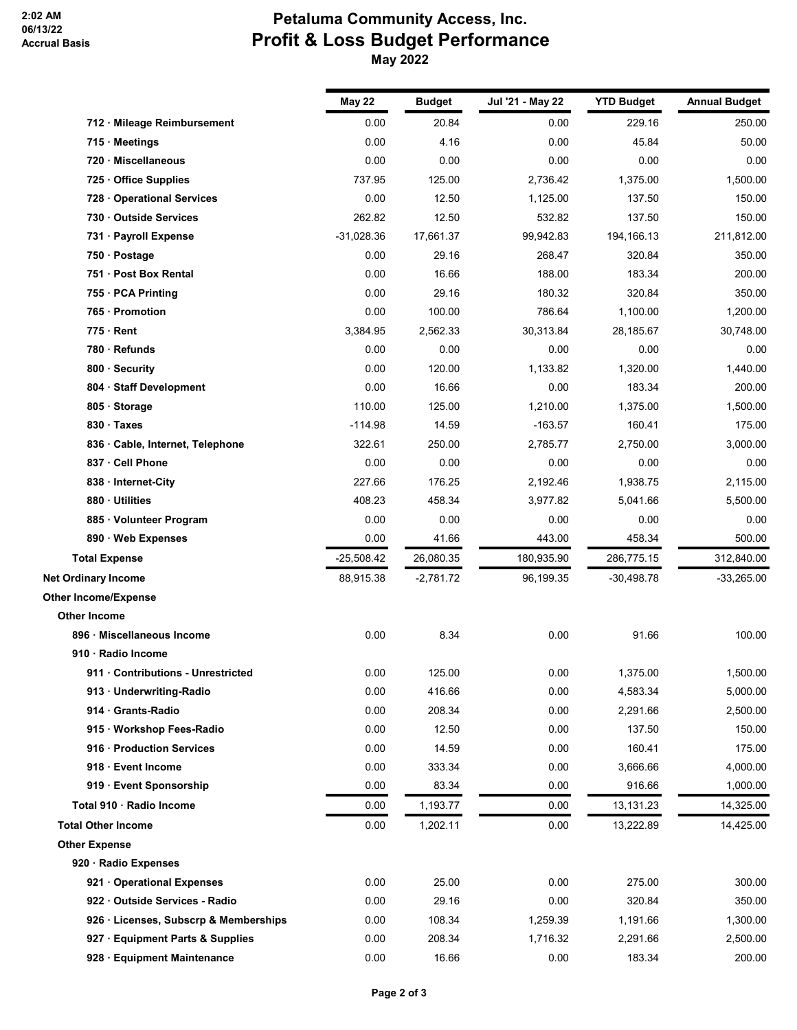## **Petaluma Community Access, Inc. Profit & Loss Budget Performance May 2022**

|                                       | May 22       | <b>Budget</b> | Jul '21 - May 22 | <b>YTD Budget</b> | <b>Annual Budget</b> |
|---------------------------------------|--------------|---------------|------------------|-------------------|----------------------|
| 712 · Mileage Reimbursement           | 0.00         | 20.84         | 0.00             | 229.16            | 250.00               |
| 715 Meetings                          | 0.00         | 4.16          | 0.00             | 45.84             | 50.00                |
| · Miscellaneous<br>720                | 0.00         | 0.00          | 0.00             | 0.00              | 0.00                 |
| Office Supplies<br>725                | 737.95       | 125.00        | 2,736.42         | 1,375.00          | 1,500.00             |
| 728 Operational Services              | 0.00         | 12.50         | 1,125.00         | 137.50            | 150.00               |
| 730 Outside Services                  | 262.82       | 12.50         | 532.82           | 137.50            | 150.00               |
| 731 · Payroll Expense                 | $-31,028.36$ | 17,661.37     | 99,942.83        | 194, 166. 13      | 211,812.00           |
| 750 · Postage                         | 0.00         | 29.16         | 268.47           | 320.84            | 350.00               |
| 751 · Post Box Rental                 | 0.00         | 16.66         | 188.00           | 183.34            | 200.00               |
| 755 · PCA Printing                    | 0.00         | 29.16         | 180.32           | 320.84            | 350.00               |
| 765 · Promotion                       | 0.00         | 100.00        | 786.64           | 1,100.00          | 1,200.00             |
| $775 \cdot$ Rent                      | 3,384.95     | 2,562.33      | 30,313.84        | 28,185.67         | 30,748.00            |
| 780 · Refunds                         | 0.00         | 0.00          | 0.00             | 0.00              | 0.00                 |
| 800 · Security                        | 0.00         | 120.00        | 1,133.82         | 1,320.00          | 1,440.00             |
| 804 · Staff Development               | 0.00         | 16.66         | 0.00             | 183.34            | 200.00               |
| 805 · Storage                         | 110.00       | 125.00        | 1,210.00         | 1,375.00          | 1,500.00             |
| 830 Taxes                             | $-114.98$    | 14.59         | $-163.57$        | 160.41            | 175.00               |
| 836 Cable, Internet, Telephone        | 322.61       | 250.00        | 2,785.77         | 2,750.00          | 3,000.00             |
| 837 · Cell Phone                      | 0.00         | 0.00          | 0.00             | 0.00              | 0.00                 |
| 838 Internet-City                     | 227.66       | 176.25        | 2,192.46         | 1,938.75          | 2,115.00             |
| 880 Utilities                         | 408.23       | 458.34        | 3,977.82         | 5,041.66          | 5,500.00             |
| 885 Volunteer Program                 | 0.00         | 0.00          | 0.00             | 0.00              | 0.00                 |
| 890 Web Expenses                      | 0.00         | 41.66         | 443.00           | 458.34            | 500.00               |
| <b>Total Expense</b>                  | $-25,508.42$ | 26,080.35     | 180,935.90       | 286,775.15        | 312,840.00           |
| <b>Net Ordinary Income</b>            | 88,915.38    | $-2,781.72$   | 96,199.35        | $-30,498.78$      | $-33,265.00$         |
| <b>Other Income/Expense</b>           |              |               |                  |                   |                      |
| <b>Other Income</b>                   |              |               |                  |                   |                      |
| 896 · Miscellaneous Income            | 0.00         | 8.34          | 0.00             | 91.66             | 100.00               |
| 910 · Radio Income                    |              |               |                  |                   |                      |
| 911 Contributions - Unrestricted      | 0.00         | 125.00        | 0.00             | 1,375.00          | 1,500.00             |
| 913 Underwriting-Radio                | 0.00         | 416.66        | 0.00             | 4,583.34          | 5,000.00             |
| 914 Grants-Radio                      | 0.00         | 208.34        | 0.00             | 2,291.66          | 2,500.00             |
| 915 · Workshop Fees-Radio             | 0.00         | 12.50         | 0.00             | 137.50            | 150.00               |
| 916 · Production Services             | 0.00         | 14.59         | 0.00             | 160.41            | 175.00               |
| 918 · Event Income                    | 0.00         | 333.34        | 0.00             | 3,666.66          | 4,000.00             |
| 919 · Event Sponsorship               | 0.00         | 83.34         | 0.00             | 916.66            | 1,000.00             |
| Total 910 · Radio Income              | 0.00         | 1,193.77      | 0.00             | 13,131.23         | 14,325.00            |
| <b>Total Other Income</b>             | 0.00         | 1,202.11      | 0.00             | 13,222.89         | 14,425.00            |
| <b>Other Expense</b>                  |              |               |                  |                   |                      |
| 920 · Radio Expenses                  |              |               |                  |                   |                      |
| 921 Operational Expenses              | 0.00         | 25.00         | 0.00             | 275.00            | 300.00               |
| 922 Outside Services - Radio          | 0.00         | 29.16         | 0.00             | 320.84            | 350.00               |
| 926 · Licenses, Subscrp & Memberships | 0.00         | 108.34        | 1,259.39         | 1,191.66          | 1,300.00             |
| 927 · Equipment Parts & Supplies      | 0.00         | 208.34        | 1,716.32         | 2,291.66          | 2,500.00             |
| 928 · Equipment Maintenance           | 0.00         | 16.66         | 0.00             | 183.34            | 200.00               |